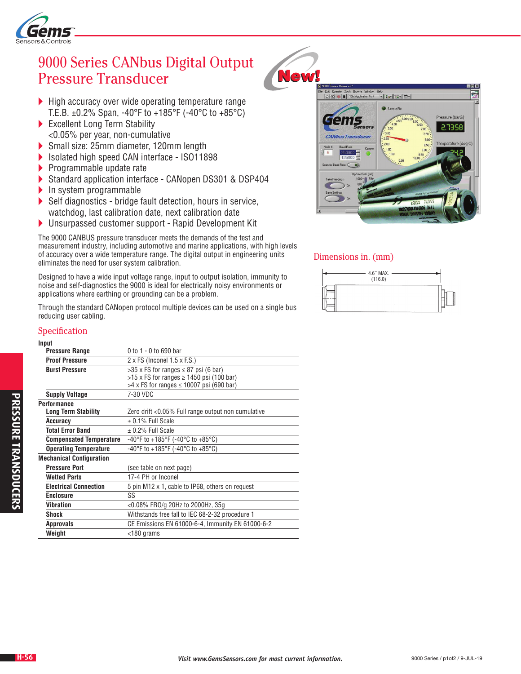

# 9000 Series CANbus Digital Output Pressure Transducer

- $\blacktriangleright$  High accuracy over wide operating temperature range T.E.B.  $\pm$ 0.2% Span, -40°F to +185°F (-40°C to +85°C)
- Excellent Long Term Stability <0.05% per year, non-cumulative
- Small size: 25mm diameter, 120mm length
- ▶ Isolated high speed CAN interface ISO11898
- $\blacktriangleright$  Programmable update rate
- Standard application interface CANopen DS301 & DSP404
- $\blacktriangleright$  In system programmable
- Self diagnostics bridge fault detection, hours in service, watchdog, last calibration date, next calibration date
- Unsurpassed customer support Rapid Development Kit

The 9000 CANBUS pressure transducer meets the demands of the test and measurement industry, including automotive and marine applications, with high levels of accuracy over a wide temperature range. The digital output in engineering units eliminates the need for user system calibration.

Designed to have a wide input voltage range, input to output isolation, immunity to noise and self-diagnostics the 9000 is ideal for electrically noisy environments or applications where earthing or grounding can be a problem.

Through the standard CANopen protocol multiple devices can be used on a single bus reducing user cabling.

### Specification

| Input                           |                                                    |  |  |  |  |  |  |  |
|---------------------------------|----------------------------------------------------|--|--|--|--|--|--|--|
| <b>Pressure Range</b>           | 0 to 1 - 0 to 690 bar                              |  |  |  |  |  |  |  |
| <b>Proof Pressure</b>           | $2 \times FS$ (Inconel 1.5 $\times$ F.S.)          |  |  |  |  |  |  |  |
| <b>Burst Pressure</b>           | $>35$ x FS for ranges $\leq 87$ psi (6 bar)        |  |  |  |  |  |  |  |
|                                 | $>15$ x FS for ranges $\geq 1450$ psi (100 bar)    |  |  |  |  |  |  |  |
|                                 | $>4$ x FS for ranges $\leq$ 10007 psi (690 bar)    |  |  |  |  |  |  |  |
| <b>Supply Voltage</b>           | 7-30 VDC                                           |  |  |  |  |  |  |  |
| <b>Performance</b>              |                                                    |  |  |  |  |  |  |  |
| <b>Long Term Stability</b>      | Zero drift <0.05% Full range output non cumulative |  |  |  |  |  |  |  |
| Accuracy                        | $\pm$ 0.1% Full Scale                              |  |  |  |  |  |  |  |
| <b>Total Error Band</b>         | $\pm$ 0.2% Full Scale                              |  |  |  |  |  |  |  |
| <b>Compensated Temperature</b>  | -40°F to +185°F (-40°C to +85°C)                   |  |  |  |  |  |  |  |
| <b>Operating Temperature</b>    | -40°F to +185°F (-40°C to +85°C)                   |  |  |  |  |  |  |  |
| <b>Mechanical Configuration</b> |                                                    |  |  |  |  |  |  |  |
| <b>Pressure Port</b>            | (see table on next page)                           |  |  |  |  |  |  |  |
| <b>Wetted Parts</b>             | 17-4 PH or Inconel                                 |  |  |  |  |  |  |  |
| <b>Electrical Connection</b>    | 5 pin M12 x 1, cable to IP68, others on request    |  |  |  |  |  |  |  |
| <b>Enclosure</b>                | SS                                                 |  |  |  |  |  |  |  |
| Vibration                       | <0.08% FRO/g 20Hz to 2000Hz, 35g                   |  |  |  |  |  |  |  |
| Shock                           | Withstands free fall to IEC 68-2-32 procedure 1    |  |  |  |  |  |  |  |
| <b>Approvals</b>                | CE Emissions EN 61000-6-4, Immunity EN 61000-6-2   |  |  |  |  |  |  |  |
| Weight                          | $<$ 180 grams                                      |  |  |  |  |  |  |  |





#### Dimensions in. (mm)